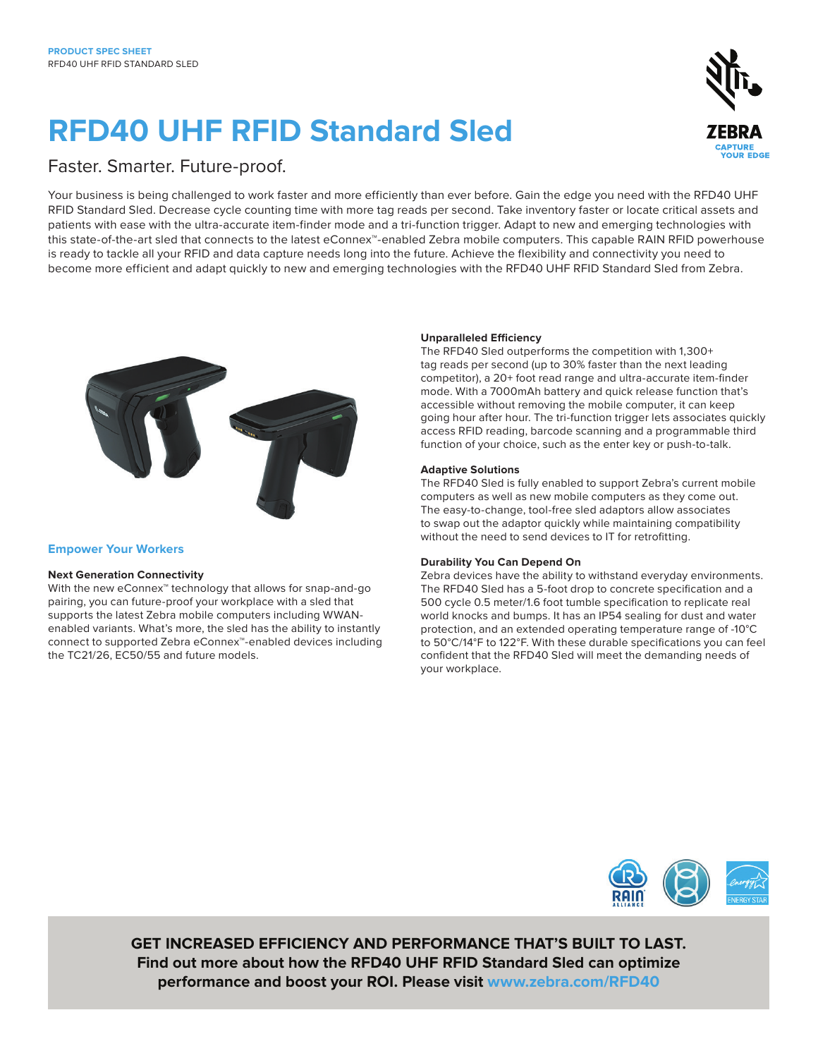# **RFD40 UHF RFID Standard Sled**

### Faster. Smarter. Future-proof.

Your business is being challenged to work faster and more efficiently than ever before. Gain the edge you need with the RFD40 UHF RFID Standard Sled. Decrease cycle counting time with more tag reads per second. Take inventory faster or locate critical assets and patients with ease with the ultra-accurate item-finder mode and a tri-function trigger. Adapt to new and emerging technologies with this state-of-the-art sled that connects to the latest eConnex™-enabled Zebra mobile computers. This capable RAIN RFID powerhouse is ready to tackle all your RFID and data capture needs long into the future. Achieve the flexibility and connectivity you need to become more efficient and adapt quickly to new and emerging technologies with the RFD40 UHF RFID Standard Sled from Zebra.



#### **Empower Your Workers**

#### **Next Generation Connectivity**

With the new eConnex™ technology that allows for snap-and-go pairing, you can future-proof your workplace with a sled that supports the latest Zebra mobile computers including WWANenabled variants. What's more, the sled has the ability to instantly connect to supported Zebra eConnex™-enabled devices including the TC21/26, EC50/55 and future models.

#### **Unparalleled Efficiency**

The RFD40 Sled outperforms the competition with 1,300+ tag reads per second (up to 30% faster than the next leading competitor), a 20+ foot read range and ultra-accurate item-finder mode. With a 7000mAh battery and quick release function that's accessible without removing the mobile computer, it can keep going hour after hour. The tri-function trigger lets associates quickly access RFID reading, barcode scanning and a programmable third function of your choice, such as the enter key or push-to-talk.

#### **Adaptive Solutions**

The RFD40 Sled is fully enabled to support Zebra's current mobile computers as well as new mobile computers as they come out. The easy-to-change, tool-free sled adaptors allow associates to swap out the adaptor quickly while maintaining compatibility without the need to send devices to IT for retrofitting.

#### **Durability You Can Depend On**

Zebra devices have the ability to withstand everyday environments. The RFD40 Sled has a 5-foot drop to concrete specification and a 500 cycle 0.5 meter/1.6 foot tumble specification to replicate real world knocks and bumps. It has an IP54 sealing for dust and water protection, and an extended operating temperature range of -10°C to 50°C/14°F to 122°F. With these durable specifications you can feel confident that the RFD40 Sled will meet the demanding needs of your workplace.



**GET INCREASED EFFICIENCY AND PERFORMANCE THAT'S BUILT TO LAST. Find out more about how the RFD40 UHF RFID Standard Sled can optimize performance and boost your ROI. Please visit www.zebra.com/RFD40**

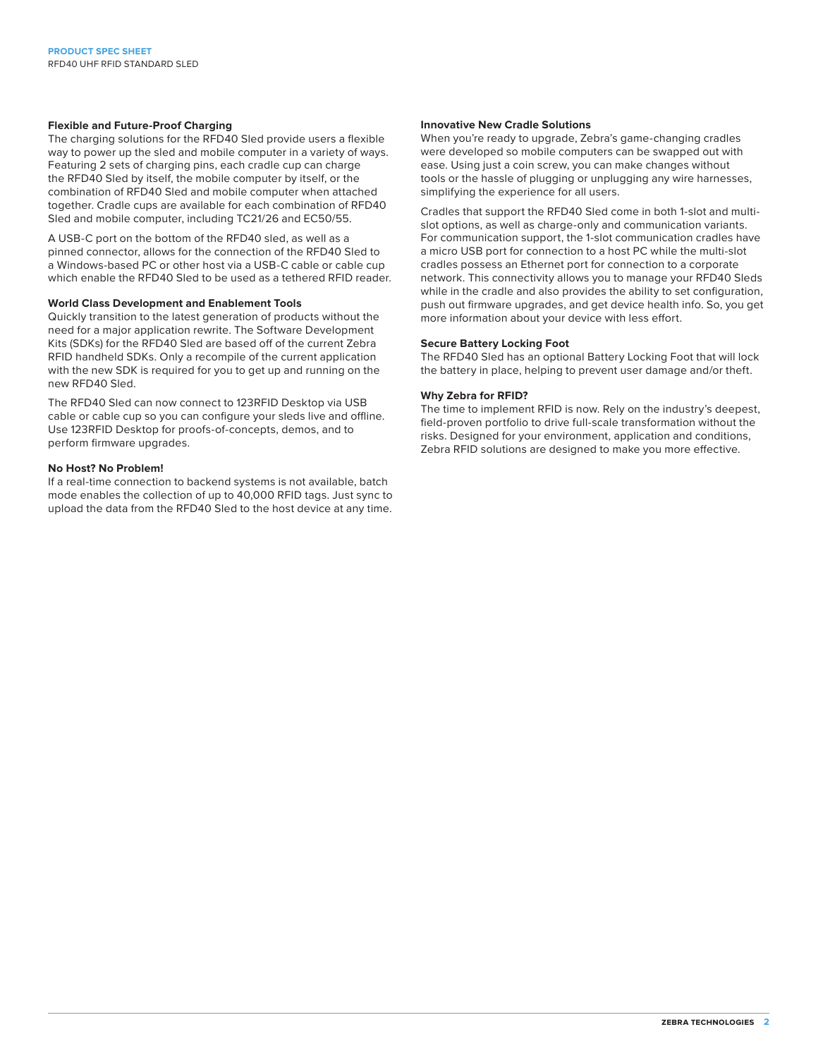#### **Flexible and Future-Proof Charging**

The charging solutions for the RFD40 Sled provide users a flexible way to power up the sled and mobile computer in a variety of ways. Featuring 2 sets of charging pins, each cradle cup can charge the RFD40 Sled by itself, the mobile computer by itself, or the combination of RFD40 Sled and mobile computer when attached together. Cradle cups are available for each combination of RFD40 Sled and mobile computer, including TC21/26 and EC50/55.

A USB-C port on the bottom of the RFD40 sled, as well as a pinned connector, allows for the connection of the RFD40 Sled to a Windows-based PC or other host via a USB-C cable or cable cup which enable the RFD40 Sled to be used as a tethered RFID reader.

#### **World Class Development and Enablement Tools**

Quickly transition to the latest generation of products without the need for a major application rewrite. The Software Development Kits (SDKs) for the RFD40 Sled are based off of the current Zebra RFID handheld SDKs. Only a recompile of the current application with the new SDK is required for you to get up and running on the new RFD40 Sled.

The RFD40 Sled can now connect to 123RFID Desktop via USB cable or cable cup so you can configure your sleds live and offline. Use 123RFID Desktop for proofs-of-concepts, demos, and to perform firmware upgrades.

#### **No Host? No Problem!**

If a real-time connection to backend systems is not available, batch mode enables the collection of up to 40,000 RFID tags. Just sync to upload the data from the RFD40 Sled to the host device at any time.

#### **Innovative New Cradle Solutions**

When you're ready to upgrade, Zebra's game-changing cradles were developed so mobile computers can be swapped out with ease. Using just a coin screw, you can make changes without tools or the hassle of plugging or unplugging any wire harnesses, simplifying the experience for all users.

Cradles that support the RFD40 Sled come in both 1-slot and multislot options, as well as charge-only and communication variants. For communication support, the 1-slot communication cradles have a micro USB port for connection to a host PC while the multi-slot cradles possess an Ethernet port for connection to a corporate network. This connectivity allows you to manage your RFD40 Sleds while in the cradle and also provides the ability to set configuration, push out firmware upgrades, and get device health info. So, you get more information about your device with less effort.

#### **Secure Battery Locking Foot**

The RFD40 Sled has an optional Battery Locking Foot that will lock the battery in place, helping to prevent user damage and/or theft.

#### **Why Zebra for RFID?**

The time to implement RFID is now. Rely on the industry's deepest, field-proven portfolio to drive full-scale transformation without the risks. Designed for your environment, application and conditions, Zebra RFID solutions are designed to make you more effective.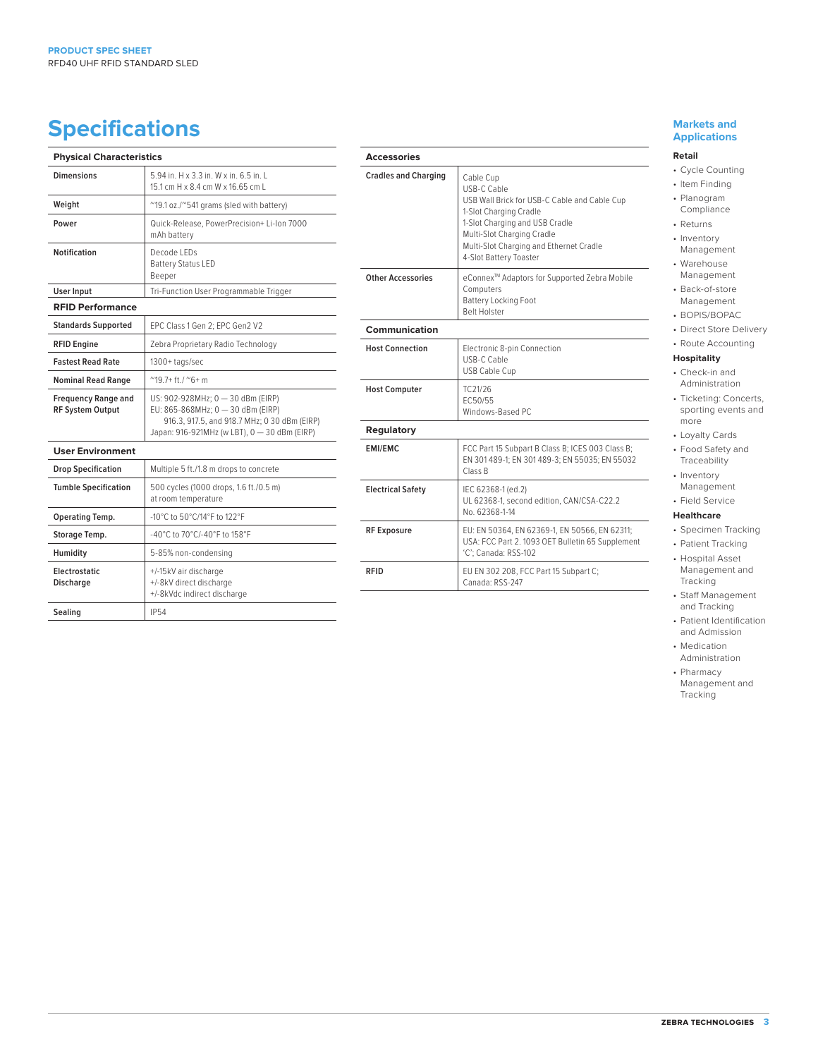## **Specifications**

| <b>Physical Characteristics</b>                       |                                                                                                                                                                        |
|-------------------------------------------------------|------------------------------------------------------------------------------------------------------------------------------------------------------------------------|
| <b>Dimensions</b>                                     | 5.94 in. H x 3.3 in. W x in. 6.5 in. I<br>15.1 cm H x 8.4 cm W x 16.65 cm L                                                                                            |
| Weight                                                | "19.1 oz./"541 grams (sled with battery)                                                                                                                               |
| Power                                                 | Quick-Release, PowerPrecision+ Li-Ion 7000<br>mAh battery                                                                                                              |
| <b>Notification</b>                                   | Decode LEDs<br><b>Battery Status LED</b><br>Beeper                                                                                                                     |
| <b>User Input</b>                                     | Tri-Function User Programmable Trigger                                                                                                                                 |
| <b>RFID Performance</b>                               |                                                                                                                                                                        |
| <b>Standards Supported</b>                            | EPC Class 1 Gen 2; EPC Gen2 V2                                                                                                                                         |
| <b>RFID Engine</b>                                    | Zebra Proprietary Radio Technology                                                                                                                                     |
| <b>Fastest Read Rate</b>                              | 1300+tags/sec                                                                                                                                                          |
| <b>Nominal Read Range</b>                             | $^{10}$ 19.7+ ft./ $^{10}$ 6+ m                                                                                                                                        |
| <b>Frequency Range and</b><br><b>RF System Output</b> | US: 902-928MHz; 0 - 30 dBm (EIRP)<br>EU: 865-868MHz; 0 - 30 dBm (EIRP)<br>916.3, 917.5, and 918.7 MHz; 0 30 dBm (EIRP)<br>Japan: 916-921MHz (w LBT), 0 - 30 dBm (EIRP) |
| <b>User Environment</b>                               |                                                                                                                                                                        |
| <b>Drop Specification</b>                             | Multiple 5 ft./1.8 m drops to concrete                                                                                                                                 |
| <b>Tumble Specification</b>                           | 500 cycles (1000 drops, 1.6 ft./0.5 m)<br>at room temperature                                                                                                          |
| <b>Operating Temp.</b>                                | -10°C to 50°C/14°F to 122°F                                                                                                                                            |
| Storage Temp.                                         | -40°C to 70°C/-40°F to 158°F                                                                                                                                           |
| Humidity                                              | 5-85% non-condensing                                                                                                                                                   |
| Electrostatic<br><b>Discharge</b>                     | +/-15kV air discharge<br>+/-8kV direct discharge<br>+/-8kVdc indirect discharge                                                                                        |
| Sealing                                               | <b>IP54</b>                                                                                                                                                            |

| <b>Accessories</b>          |                                                                                                                                                                                                                                         |
|-----------------------------|-----------------------------------------------------------------------------------------------------------------------------------------------------------------------------------------------------------------------------------------|
| <b>Cradles and Charging</b> | Cable Cup<br>USB-C Cable<br>USB Wall Brick for USB-C Cable and Cable Cup<br>1-Slot Charging Cradle<br>1-Slot Charging and USB Cradle<br>Multi-Slot Charging Cradle<br>Multi-Slot Charging and Ethernet Cradle<br>4-Slot Battery Toaster |
| <b>Other Accessories</b>    | eConnex™ Adaptors for Supported Zebra Mobile<br>Computers<br>Battery Locking Foot<br><b>Belt Holster</b>                                                                                                                                |
| Communication               |                                                                                                                                                                                                                                         |
| <b>Host Connection</b>      | Electronic 8-pin Connection<br>USB-C Cable<br><b>USB Cable Cup</b>                                                                                                                                                                      |
| <b>Host Computer</b>        | TC21/26<br>FC50/55<br>Windows-Based PC                                                                                                                                                                                                  |
| Regulatory                  |                                                                                                                                                                                                                                         |
| <b>EMI/EMC</b>              | FCC Part 15 Subpart B Class B; ICES 003 Class B;<br>EN 301 489-1; EN 301 489-3; EN 55035; EN 55032<br>Class B                                                                                                                           |
| <b>Electrical Safety</b>    | IEC 62368-1 (ed.2)<br>UL 62368-1, second edition, CAN/CSA-C22.2<br>No. 62368-1-14                                                                                                                                                       |
| <b>RF Exposure</b>          | EU: EN 50364, EN 62369-1, EN 50566, EN 62311;<br>USA: FCC Part 2. 1093 OET Bulletin 65 Supplement<br>'C': Canada: RSS-102                                                                                                               |
| <b>RFID</b>                 | EU EN 302 208, FCC Part 15 Subpart C;<br>Canada: RSS-247                                                                                                                                                                                |

#### **Markets and Applications**

#### **Retail**

- Cycle Counting • |tem Finding
- Planogram
- Compliance
- Returns
- Inventory Management
- Warehouse Management
- Back-of-store Management
- BOPIS/BOPAC
- Direct Store Delivery
- Route Accounting

#### **Hospitality**

- Check-in and Administration
- Ticketing: Concerts, sporting events and more
- Loyalty Cards
- Food Safety and **Traceability**
- Inventory Management
- Field Service

#### **Healthcare**

- Specimen Tracking
- Patient Tracking
- Hospital Asset Management and Tracking
- Staff Management and Tracking
- Patient Identification and Admission
- Medication Administration
- Pharmacy Management and Tracking